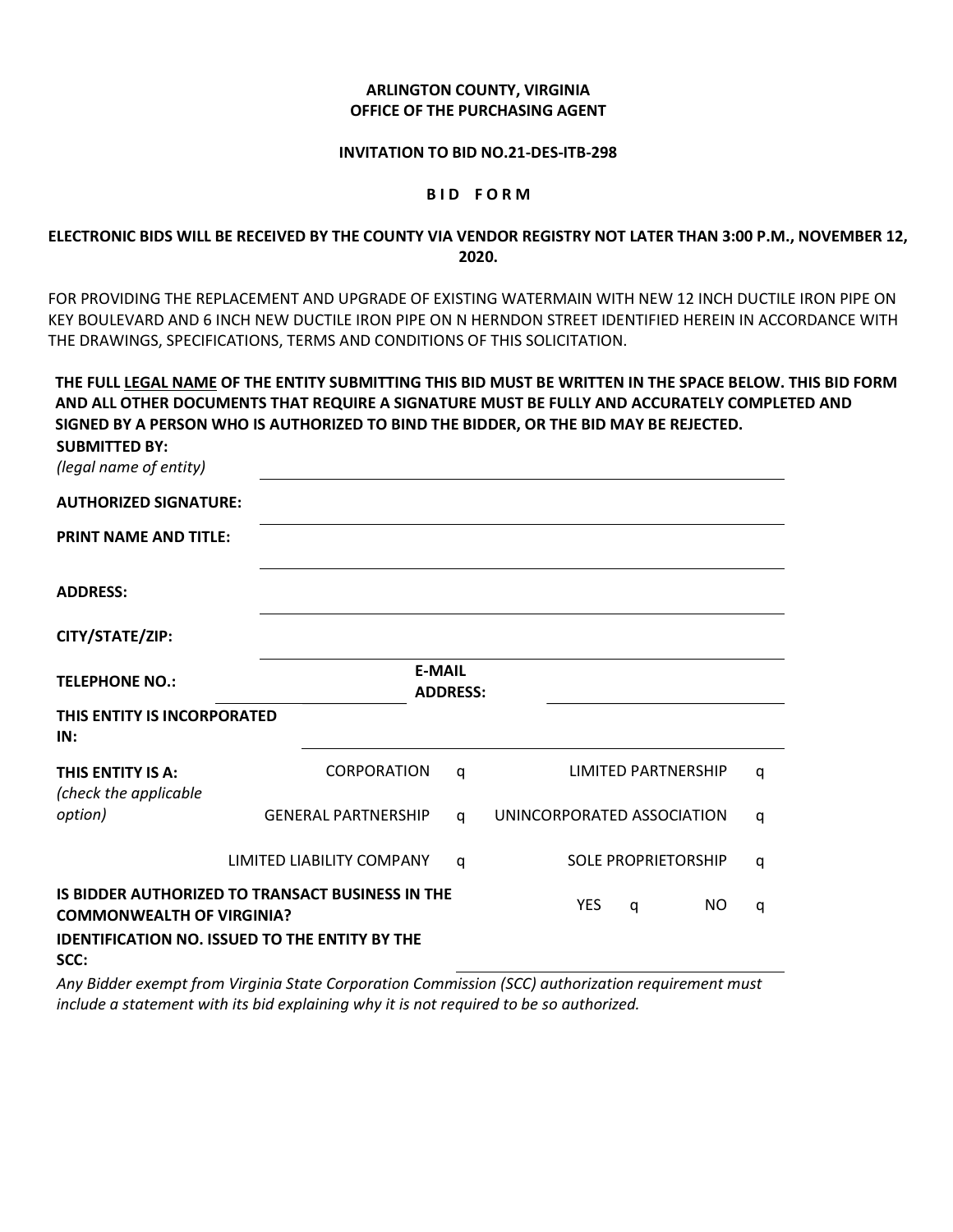# ARLINGTON COUNTY, VIRGINIA OFFICE OF THE PURCHASING AGENT

### INVITATION TO BID NO.21-DES-ITB-298

#### BID FORM

# ELECTRONIC BIDS WILL BE RECEIVED BY THE COUNTY VIA VENDOR REGISTRY NOT LATER THAN 3:00 P.M., NOVEMBER 12, 2020.

FOR PROVIDING THE REPLACEMENT AND UPGRADE OF EXISTING WATERMAIN WITH NEW 12 INCH DUCTILE IRON PIPE ON KEY BOULEVARD AND 6 INCH NEW DUCTILE IRON PIPE ON N HERNDON STREET IDENTIFIED HEREIN IN ACCORDANCE WITH THE DRAWINGS, SPECIFICATIONS, TERMS AND CONDITIONS OF THIS SOLICITATION.

THE FULL LEGAL NAME OF THE ENTITY SUBMITTING THIS BID MUST BE WRITTEN IN THE SPACE BELOW. THIS BID FORM AND ALL OTHER DOCUMENTS THAT REQUIRE A SIGNATURE MUST BE FULLY AND ACCURATELY COMPLETED AND SIGNED BY A PERSON WHO IS AUTHORIZED TO BIND THE BIDDER, OR THE BID MAY BE REJECTED.

| SUBIVII I I ED BY:<br>(legal name of entity) |                                                       |                                  |                            |   |
|----------------------------------------------|-------------------------------------------------------|----------------------------------|----------------------------|---|
| <b>AUTHORIZED SIGNATURE:</b>                 |                                                       |                                  |                            |   |
| <b>PRINT NAME AND TITLE:</b>                 |                                                       |                                  |                            |   |
| <b>ADDRESS:</b>                              |                                                       |                                  |                            |   |
| CITY/STATE/ZIP:                              |                                                       |                                  |                            |   |
| <b>TELEPHONE NO.:</b>                        |                                                       | <b>E-MAIL</b><br><b>ADDRESS:</b> |                            |   |
| THIS ENTITY IS INCORPORATED<br>IN:           |                                                       |                                  |                            |   |
| THIS ENTITY IS A:<br>(check the applicable   | <b>CORPORATION</b>                                    | q                                | <b>LIMITED PARTNERSHIP</b> | q |
| option)                                      | <b>GENERAL PARTNERSHIP</b>                            | q                                | UNINCORPORATED ASSOCIATION | q |
|                                              | LIMITED LIABILITY COMPANY                             | q                                | <b>SOLE PROPRIETORSHIP</b> | q |
| <b>COMMONWEALTH OF VIRGINIA?</b>             | IS BIDDER AUTHORIZED TO TRANSACT BUSINESS IN THE      |                                  | <b>YES</b><br>NO.<br>q     | q |
| SCC:                                         | <b>IDENTIFICATION NO. ISSUED TO THE ENTITY BY THE</b> |                                  |                            |   |

 $\mathbf{S}$ UBMITTED BY

Any Bidder exempt from Virginia State Corporation Commission (SCC) authorization requirement must include a statement with its bid explaining why it is not required to be so authorized.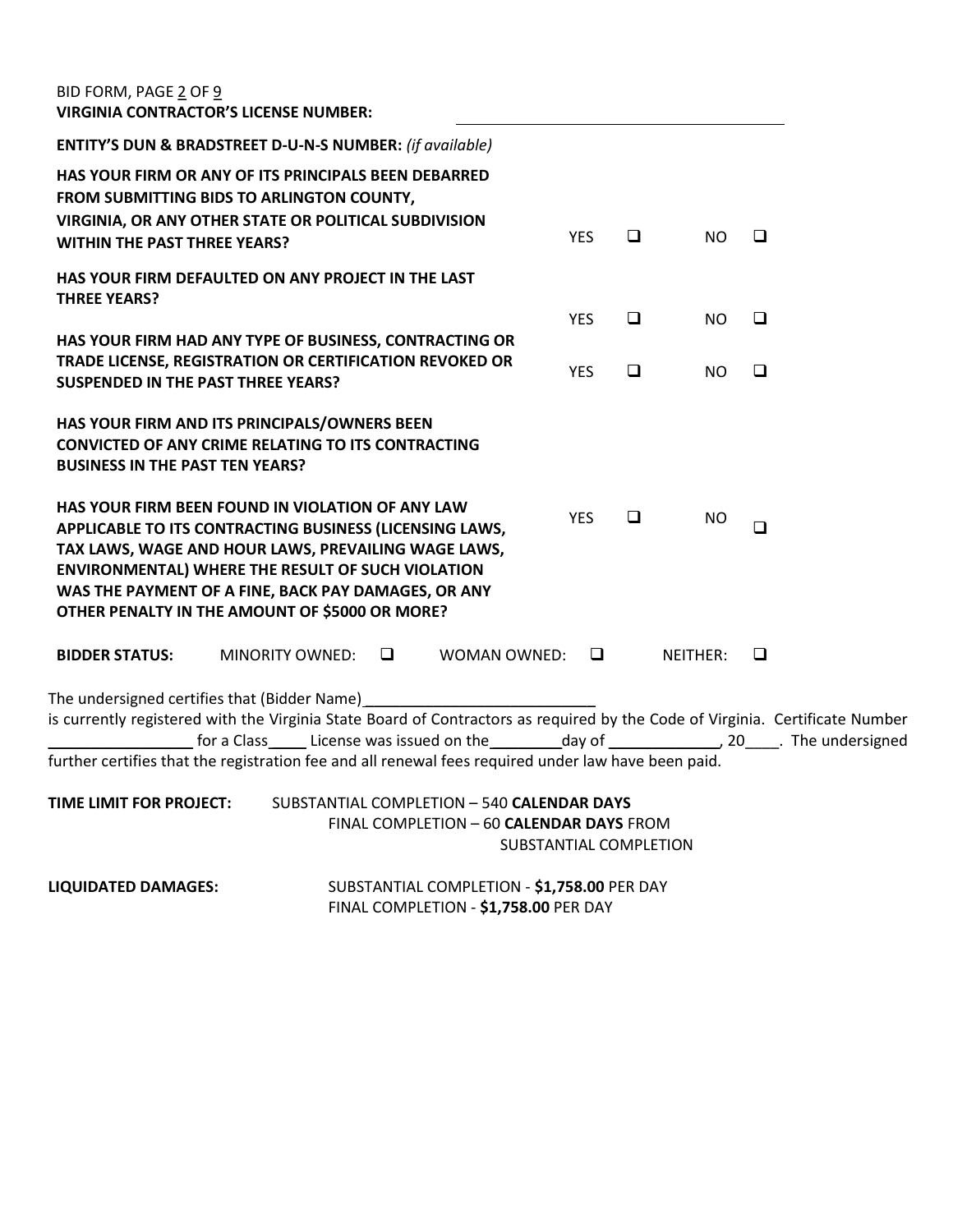| BID FORM, PAGE 2 OF 9<br><b>VIRGINIA CONTRACTOR'S LICENSE NUMBER:</b>                                                                                                                                                                                                                                                                   |                        |                                                                                        |                        |        |           |                                                                                                                 |
|-----------------------------------------------------------------------------------------------------------------------------------------------------------------------------------------------------------------------------------------------------------------------------------------------------------------------------------------|------------------------|----------------------------------------------------------------------------------------|------------------------|--------|-----------|-----------------------------------------------------------------------------------------------------------------|
| <b>ENTITY'S DUN &amp; BRADSTREET D-U-N-S NUMBER: (if available)</b>                                                                                                                                                                                                                                                                     |                        |                                                                                        |                        |        |           |                                                                                                                 |
| HAS YOUR FIRM OR ANY OF ITS PRINCIPALS BEEN DEBARRED<br>FROM SUBMITTING BIDS TO ARLINGTON COUNTY,<br>VIRGINIA, OR ANY OTHER STATE OR POLITICAL SUBDIVISION<br><b>WITHIN THE PAST THREE YEARS?</b>                                                                                                                                       |                        |                                                                                        | <b>YES</b>             | $\Box$ | <b>NO</b> | □                                                                                                               |
| HAS YOUR FIRM DEFAULTED ON ANY PROJECT IN THE LAST<br><b>THREE YEARS?</b>                                                                                                                                                                                                                                                               |                        |                                                                                        |                        |        |           |                                                                                                                 |
| HAS YOUR FIRM HAD ANY TYPE OF BUSINESS, CONTRACTING OR                                                                                                                                                                                                                                                                                  |                        |                                                                                        | <b>YES</b>             | $\Box$ | NO        | □                                                                                                               |
| TRADE LICENSE, REGISTRATION OR CERTIFICATION REVOKED OR<br><b>SUSPENDED IN THE PAST THREE YEARS?</b>                                                                                                                                                                                                                                    |                        |                                                                                        | <b>YES</b>             | $\Box$ | NO        | □                                                                                                               |
| HAS YOUR FIRM AND ITS PRINCIPALS/OWNERS BEEN<br><b>CONVICTED OF ANY CRIME RELATING TO ITS CONTRACTING</b><br><b>BUSINESS IN THE PAST TEN YEARS?</b>                                                                                                                                                                                     |                        |                                                                                        |                        |        |           |                                                                                                                 |
| HAS YOUR FIRM BEEN FOUND IN VIOLATION OF ANY LAW<br>APPLICABLE TO ITS CONTRACTING BUSINESS (LICENSING LAWS,<br>TAX LAWS, WAGE AND HOUR LAWS, PREVAILING WAGE LAWS,<br><b>ENVIRONMENTAL) WHERE THE RESULT OF SUCH VIOLATION</b><br>WAS THE PAYMENT OF A FINE, BACK PAY DAMAGES, OR ANY<br>OTHER PENALTY IN THE AMOUNT OF \$5000 OR MORE? |                        |                                                                                        | <b>YES</b>             | $\Box$ | NO.       | $\Box$                                                                                                          |
| <b>BIDDER STATUS:</b>                                                                                                                                                                                                                                                                                                                   | MINORITY OWNED: $\Box$ | WOMAN OWNED: $\Box$                                                                    |                        |        | NEITHER:  | □                                                                                                               |
| The undersigned certifies that (Bidder Name)<br>is currently registered with the Virginia State Board of Contractors as required by the Code of Virginia. Certificate Number<br>further certifies that the registration fee and all renewal fees required under law have been paid.                                                     |                        |                                                                                        |                        |        |           | for a Class ______ License was issued on the ___________day of _______________________20______. The undersigned |
| TIME LIMIT FOR PROJECT:                                                                                                                                                                                                                                                                                                                 |                        | SUBSTANTIAL COMPLETION - 540 CALENDAR DAYS<br>FINAL COMPLETION - 60 CALENDAR DAYS FROM | SUBSTANTIAL COMPLETION |        |           |                                                                                                                 |
| <b>LIQUIDATED DAMAGES:</b>                                                                                                                                                                                                                                                                                                              |                        | SUBSTANTIAL COMPLETION - \$1,758.00 PER DAY                                            |                        |        |           |                                                                                                                 |

FINAL COMPLETION - \$1,758.00 PER DAY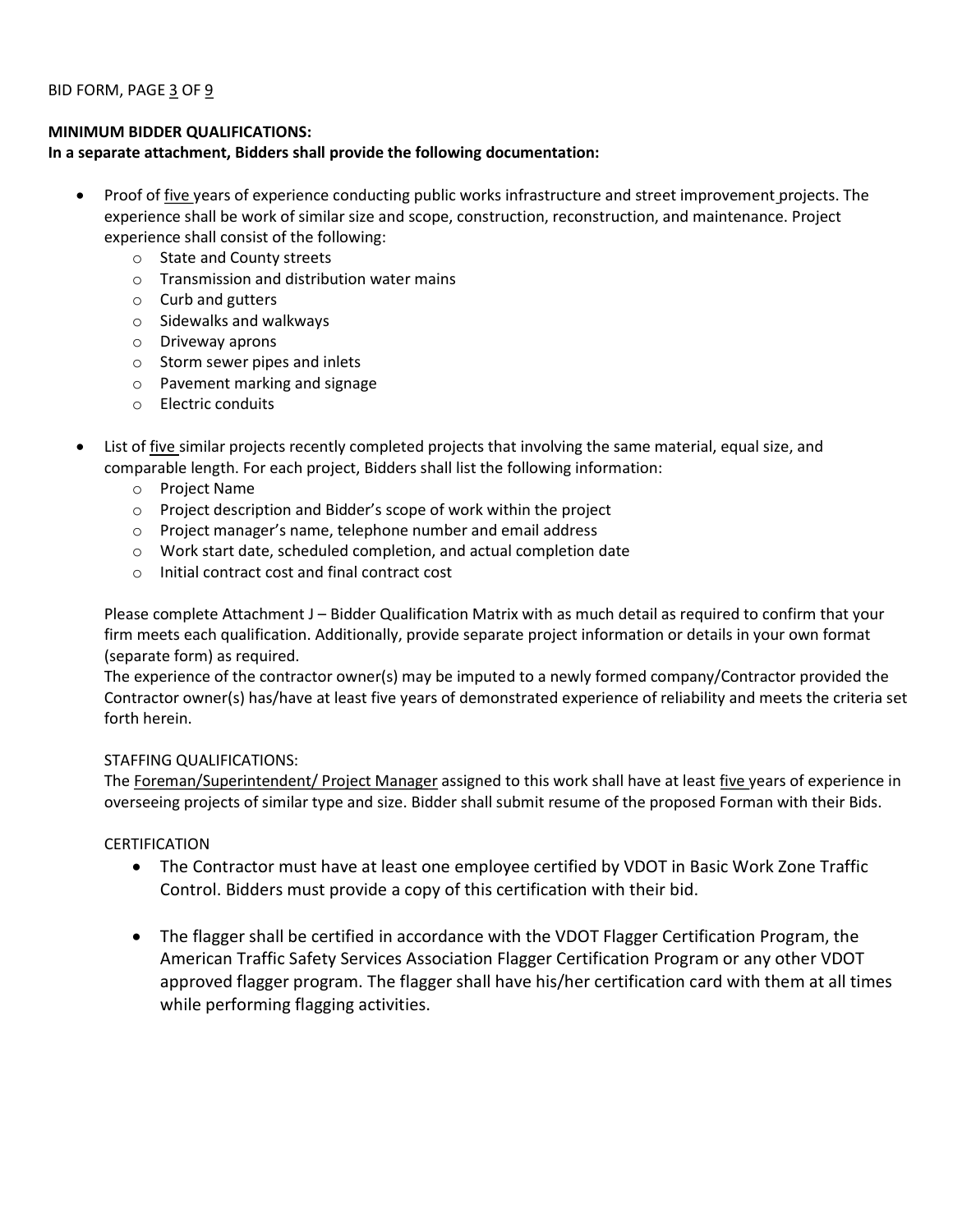# MINIMUM BIDDER QUALIFICATIONS:

# In a separate attachment, Bidders shall provide the following documentation:

- Proof of five years of experience conducting public works infrastructure and street improvement projects. The experience shall be work of similar size and scope, construction, reconstruction, and maintenance. Project experience shall consist of the following:
	- o State and County streets
	- o Transmission and distribution water mains
	- o Curb and gutters
	- o Sidewalks and walkways
	- o Driveway aprons
	- o Storm sewer pipes and inlets
	- o Pavement marking and signage
	- o Electric conduits
- List of five similar projects recently completed projects that involving the same material, equal size, and comparable length. For each project, Bidders shall list the following information:
	- o Project Name
	- o Project description and Bidder's scope of work within the project
	- o Project manager's name, telephone number and email address
	- o Work start date, scheduled completion, and actual completion date
	- o Initial contract cost and final contract cost

Please complete Attachment J – Bidder Qualification Matrix with as much detail as required to confirm that your firm meets each qualification. Additionally, provide separate project information or details in your own format (separate form) as required.

The experience of the contractor owner(s) may be imputed to a newly formed company/Contractor provided the Contractor owner(s) has/have at least five years of demonstrated experience of reliability and meets the criteria set forth herein.

# STAFFING QUALIFICATIONS:

The Foreman/Superintendent/ Project Manager assigned to this work shall have at least five years of experience in overseeing projects of similar type and size. Bidder shall submit resume of the proposed Forman with their Bids.

# CERTIFICATION

- The Contractor must have at least one employee certified by VDOT in Basic Work Zone Traffic Control. Bidders must provide a copy of this certification with their bid.
- The flagger shall be certified in accordance with the VDOT Flagger Certification Program, the American Traffic Safety Services Association Flagger Certification Program or any other VDOT approved flagger program. The flagger shall have his/her certification card with them at all times while performing flagging activities.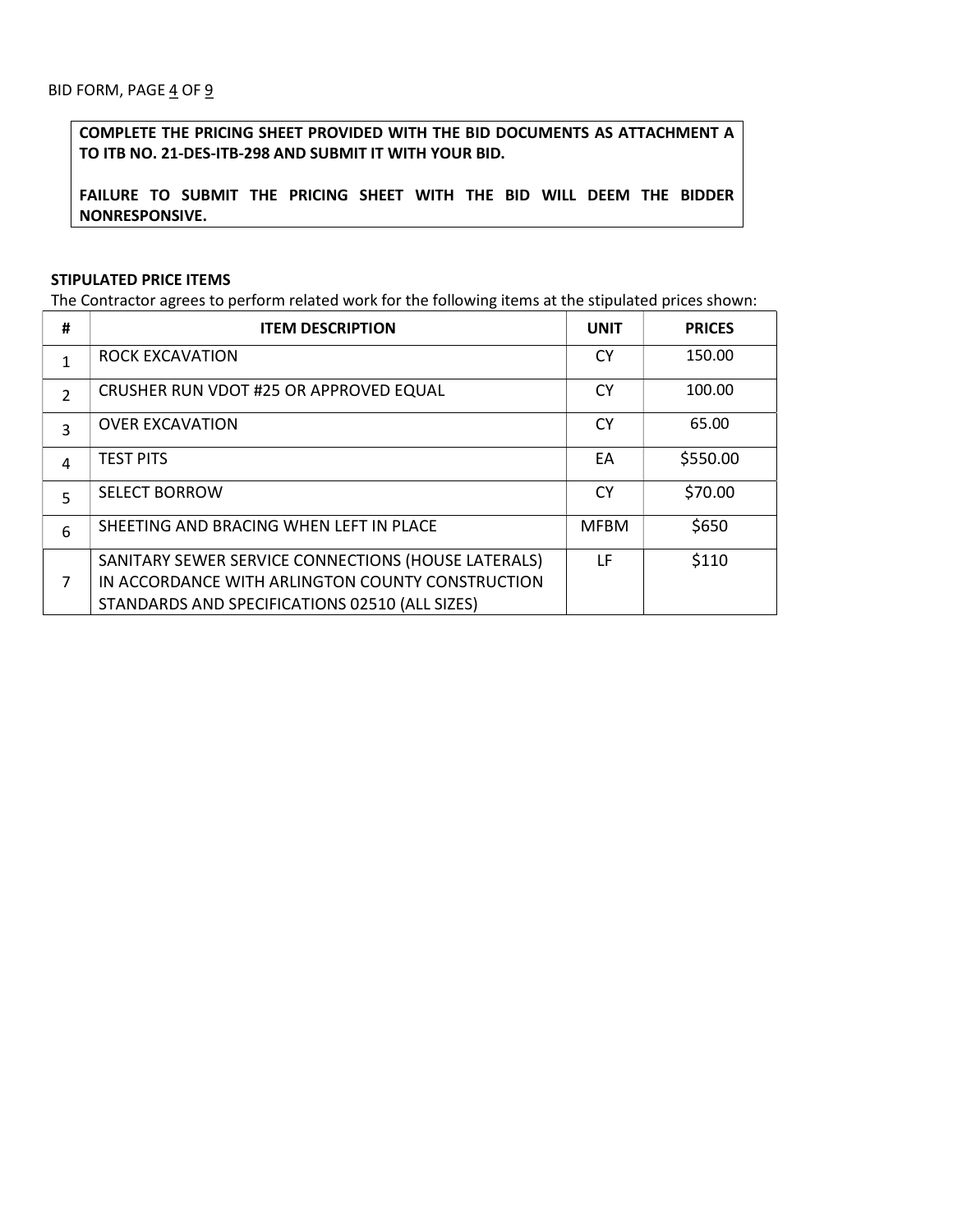COMPLETE THE PRICING SHEET PROVIDED WITH THE BID DOCUMENTS AS ATTACHMENT A TO ITB NO. 21-DES-ITB-298 AND SUBMIT IT WITH YOUR BID.

FAILURE TO SUBMIT THE PRICING SHEET WITH THE BID WILL DEEM THE BIDDER NONRESPONSIVE.

## STIPULATED PRICE ITEMS

The Contractor agrees to perform related work for the following items at the stipulated prices shown:

| #             | <b>ITEM DESCRIPTION</b>                             | <b>UNIT</b> | <b>PRICES</b> |
|---------------|-----------------------------------------------------|-------------|---------------|
| 1             | <b>ROCK EXCAVATION</b>                              | <b>CY</b>   | 150.00        |
| $\mathcal{P}$ | CRUSHER RUN VDOT #25 OR APPROVED EQUAL              | <b>CY</b>   | 100.00        |
| 3             | <b>OVER EXCAVATION</b>                              | <b>CY</b>   | 65.00         |
| 4             | <b>TEST PITS</b>                                    | EA          | \$550.00      |
| 5             | <b>SELECT BORROW</b>                                | <b>CY</b>   | \$70.00       |
| 6             | SHEETING AND BRACING WHEN LEFT IN PLACE             | <b>MFBM</b> | \$650         |
|               | SANITARY SEWER SERVICE CONNECTIONS (HOUSE LATERALS) | LF          | \$110         |
| 7             | IN ACCORDANCE WITH ARLINGTON COUNTY CONSTRUCTION    |             |               |
|               | STANDARDS AND SPECIFICATIONS 02510 (ALL SIZES)      |             |               |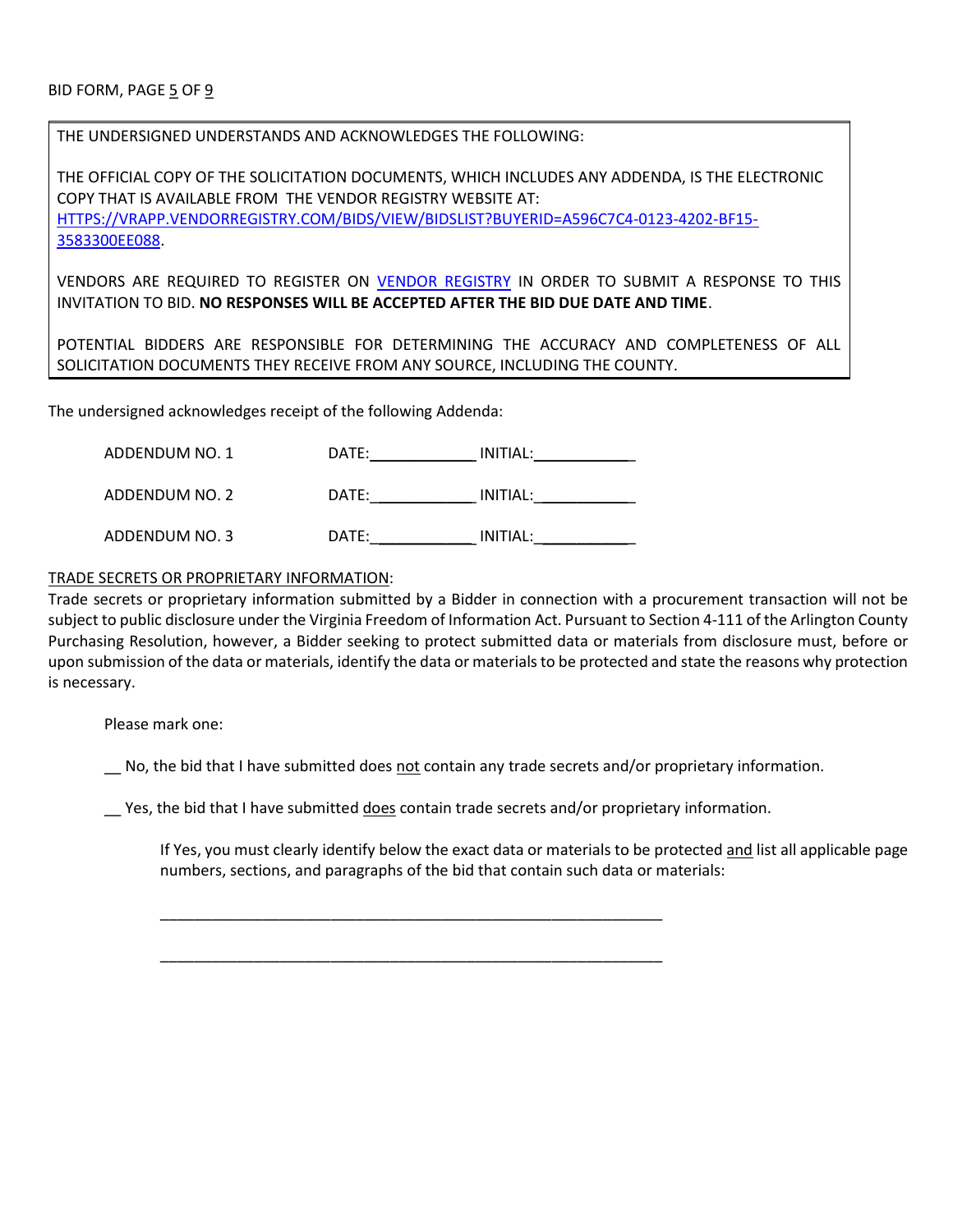THE UNDERSIGNED UNDERSTANDS AND ACKNOWLEDGES THE FOLLOWING:

THE OFFICIAL COPY OF THE SOLICITATION DOCUMENTS, WHICH INCLUDES ANY ADDENDA, IS THE ELECTRONIC COPY THAT IS AVAILABLE FROM THE VENDOR REGISTRY WEBSITE AT: HTTPS://VRAPP.VENDORREGISTRY.COM/BIDS/VIEW/BIDSLIST?BUYERID=A596C7C4-0123-4202-BF15- 3583300EE088.

VENDORS ARE REQUIRED TO REGISTER ON VENDOR REGISTRY IN ORDER TO SUBMIT A RESPONSE TO THIS INVITATION TO BID. NO RESPONSES WILL BE ACCEPTED AFTER THE BID DUE DATE AND TIME.

POTENTIAL BIDDERS ARE RESPONSIBLE FOR DETERMINING THE ACCURACY AND COMPLETENESS OF ALL SOLICITATION DOCUMENTS THEY RECEIVE FROM ANY SOURCE, INCLUDING THE COUNTY.

The undersigned acknowledges receipt of the following Addenda:

| ADDENDUM NO. 1 | DATE: | INITIAL: |  |
|----------------|-------|----------|--|
| ADDENDUM NO. 2 | DATE: | INITIAL: |  |
| ADDENDUM NO. 3 | DATE: | INITIAL: |  |

# TRADE SECRETS OR PROPRIETARY INFORMATION:

Trade secrets or proprietary information submitted by a Bidder in connection with a procurement transaction will not be subject to public disclosure under the Virginia Freedom of Information Act. Pursuant to Section 4-111 of the Arlington County Purchasing Resolution, however, a Bidder seeking to protect submitted data or materials from disclosure must, before or upon submission of the data or materials, identify the data or materials to be protected and state the reasons why protection is necessary.

Please mark one:

No, the bid that I have submitted does not contain any trade secrets and/or proprietary information.

Yes, the bid that I have submitted does contain trade secrets and/or proprietary information.

\_\_\_\_\_\_\_\_\_\_\_\_\_\_\_\_\_\_\_\_\_\_\_\_\_\_\_\_\_\_\_\_\_\_\_\_\_\_\_\_\_\_\_\_\_\_\_\_\_\_\_\_\_\_\_\_\_\_\_

\_\_\_\_\_\_\_\_\_\_\_\_\_\_\_\_\_\_\_\_\_\_\_\_\_\_\_\_\_\_\_\_\_\_\_\_\_\_\_\_\_\_\_\_\_\_\_\_\_\_\_\_\_\_\_\_\_\_\_

If Yes, you must clearly identify below the exact data or materials to be protected and list all applicable page numbers, sections, and paragraphs of the bid that contain such data or materials: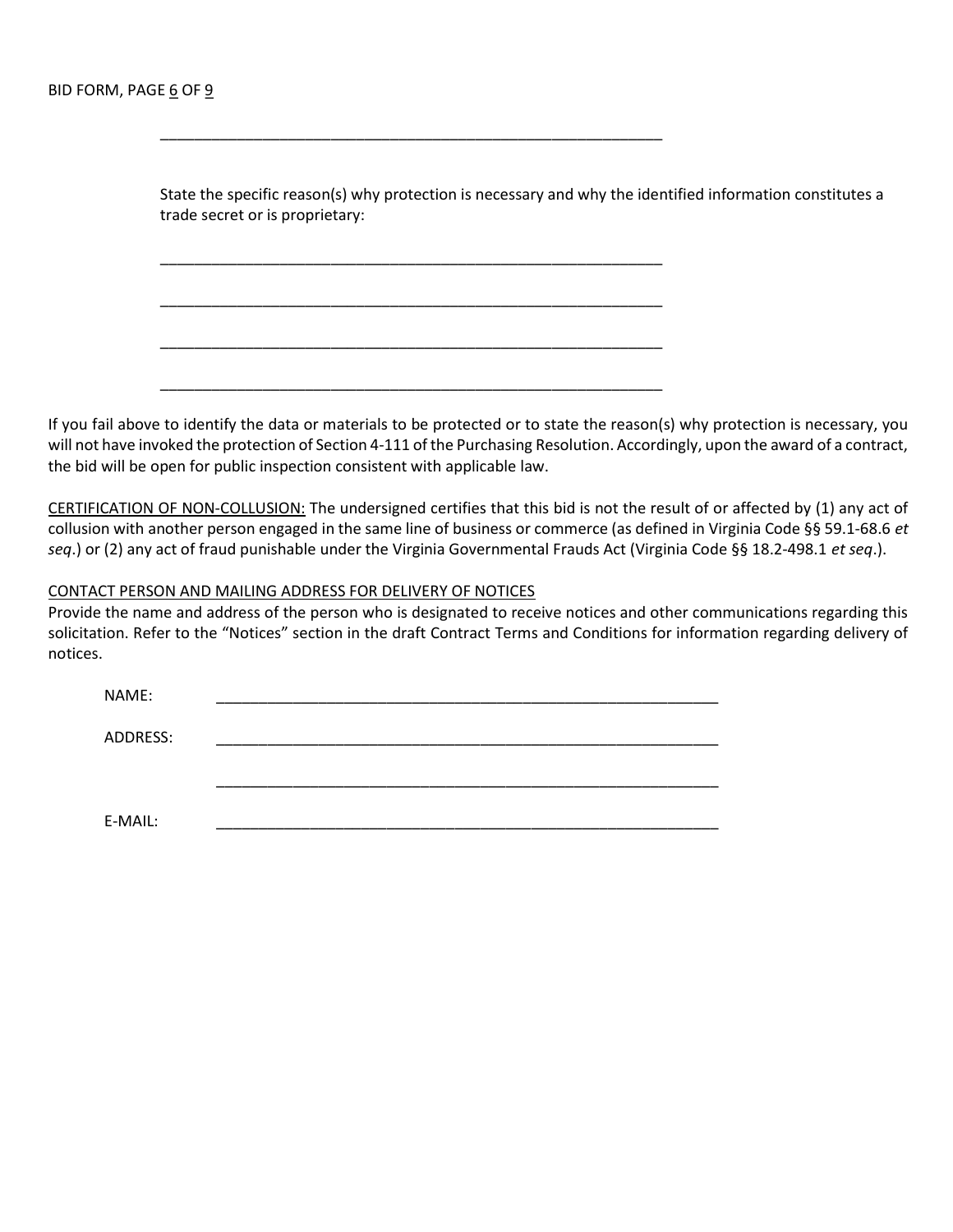State the specific reason(s) why protection is necessary and why the identified information constitutes a trade secret or is proprietary:

\_\_\_\_\_\_\_\_\_\_\_\_\_\_\_\_\_\_\_\_\_\_\_\_\_\_\_\_\_\_\_\_\_\_\_\_\_\_\_\_\_\_\_\_\_\_\_\_\_\_\_\_\_\_\_\_\_\_\_

\_\_\_\_\_\_\_\_\_\_\_\_\_\_\_\_\_\_\_\_\_\_\_\_\_\_\_\_\_\_\_\_\_\_\_\_\_\_\_\_\_\_\_\_\_\_\_\_\_\_\_\_\_\_\_\_\_\_\_

\_\_\_\_\_\_\_\_\_\_\_\_\_\_\_\_\_\_\_\_\_\_\_\_\_\_\_\_\_\_\_\_\_\_\_\_\_\_\_\_\_\_\_\_\_\_\_\_\_\_\_\_\_\_\_\_\_\_\_

\_\_\_\_\_\_\_\_\_\_\_\_\_\_\_\_\_\_\_\_\_\_\_\_\_\_\_\_\_\_\_\_\_\_\_\_\_\_\_\_\_\_\_\_\_\_\_\_\_\_\_\_\_\_\_\_\_\_\_

\_\_\_\_\_\_\_\_\_\_\_\_\_\_\_\_\_\_\_\_\_\_\_\_\_\_\_\_\_\_\_\_\_\_\_\_\_\_\_\_\_\_\_\_\_\_\_\_\_\_\_\_\_\_\_\_\_\_\_

If you fail above to identify the data or materials to be protected or to state the reason(s) why protection is necessary, you will not have invoked the protection of Section 4-111 of the Purchasing Resolution. Accordingly, upon the award of a contract, the bid will be open for public inspection consistent with applicable law.

CERTIFICATION OF NON-COLLUSION: The undersigned certifies that this bid is not the result of or affected by (1) any act of collusion with another person engaged in the same line of business or commerce (as defined in Virginia Code §§ 59.1-68.6 et seq.) or (2) any act of fraud punishable under the Virginia Governmental Frauds Act (Virginia Code §§ 18.2-498.1 et seq.).

#### CONTACT PERSON AND MAILING ADDRESS FOR DELIVERY OF NOTICES

Provide the name and address of the person who is designated to receive notices and other communications regarding this solicitation. Refer to the "Notices" section in the draft Contract Terms and Conditions for information regarding delivery of notices.

| NAME:    |  |  |  |
|----------|--|--|--|
| ADDRESS: |  |  |  |
|          |  |  |  |
|          |  |  |  |
| E-MAIL:  |  |  |  |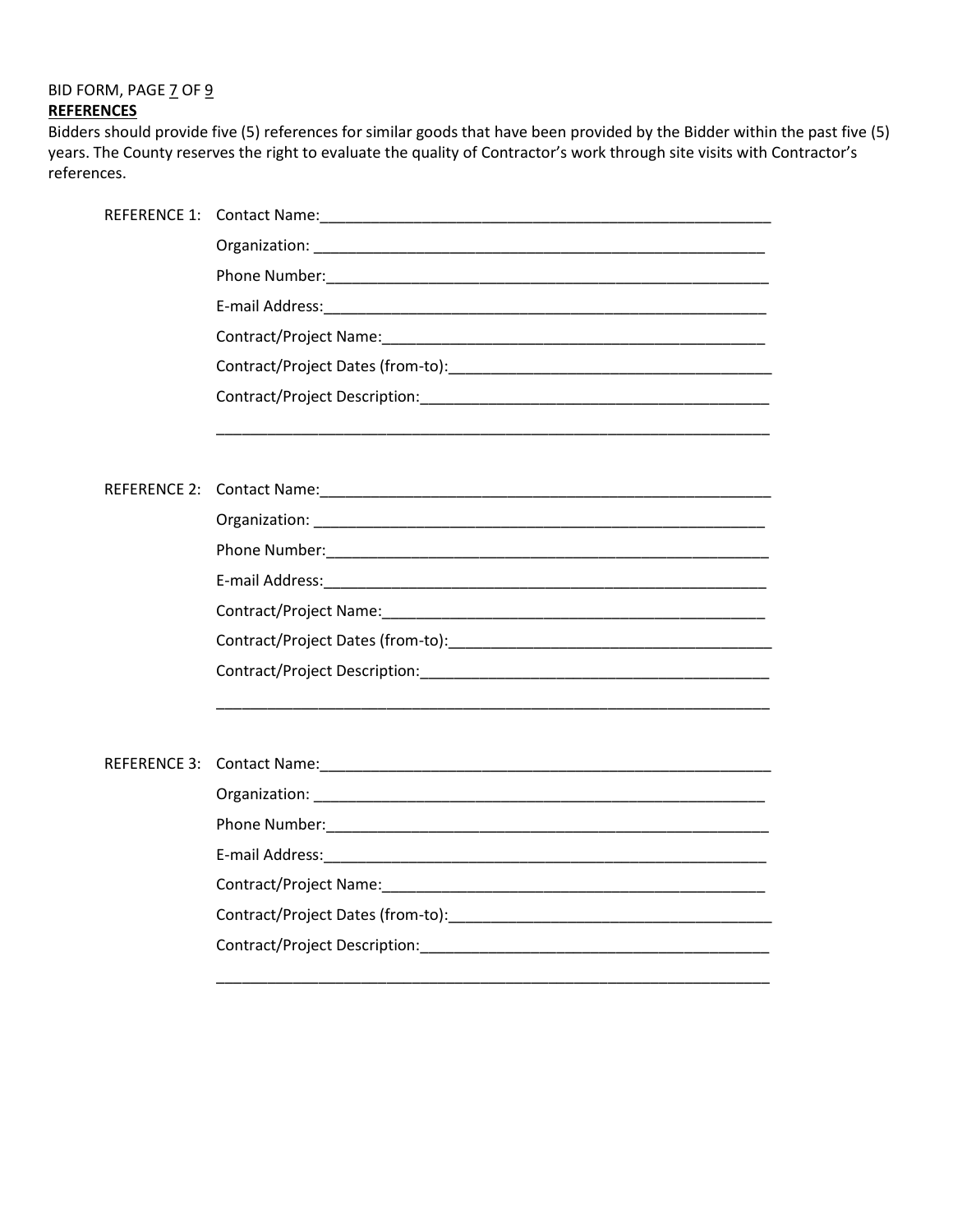BID FORM, PAGE 7 OF 9 **REFERENCES** 

Bidders should provide five (5) references for similar goods that have been provided by the Bidder within the past five (5) years. The County reserves the right to evaluate the quality of Contractor's work through site visits with Contractor's references.

\_\_\_\_\_\_\_\_\_\_\_\_\_\_\_\_\_\_\_\_\_\_\_\_\_\_\_\_\_\_\_\_\_\_\_\_\_\_\_\_\_\_\_\_\_\_\_\_\_\_\_\_\_\_\_\_\_\_\_\_\_\_\_\_\_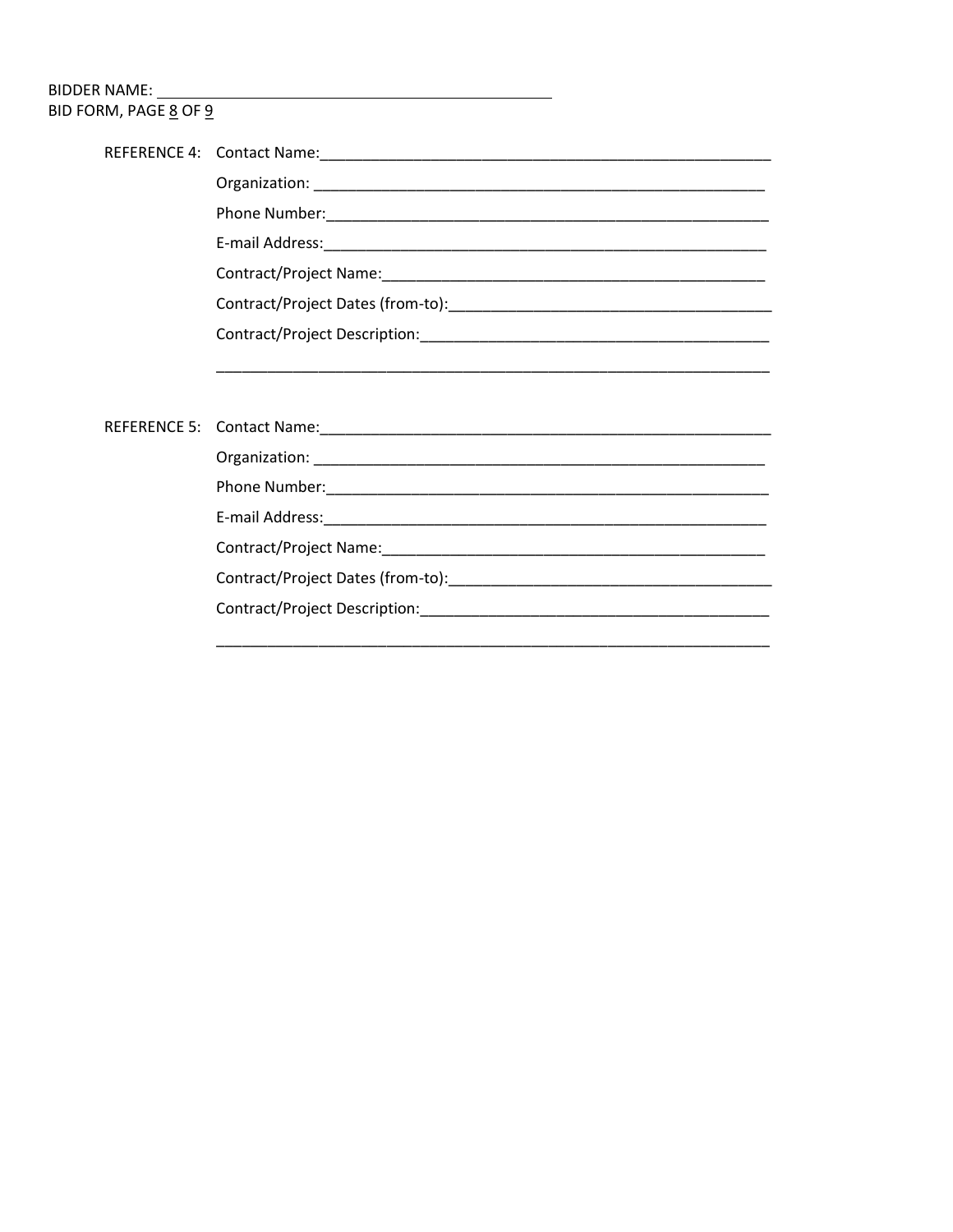# BID FORM, PAGE 8 OF 9

| <u> 1990 - Jan James James James James James James James James James James James James James James James James</u> |
|--------------------------------------------------------------------------------------------------------------------|
|                                                                                                                    |
|                                                                                                                    |
|                                                                                                                    |
|                                                                                                                    |
|                                                                                                                    |
|                                                                                                                    |
|                                                                                                                    |
| Contract/Project Description:                                                                                      |